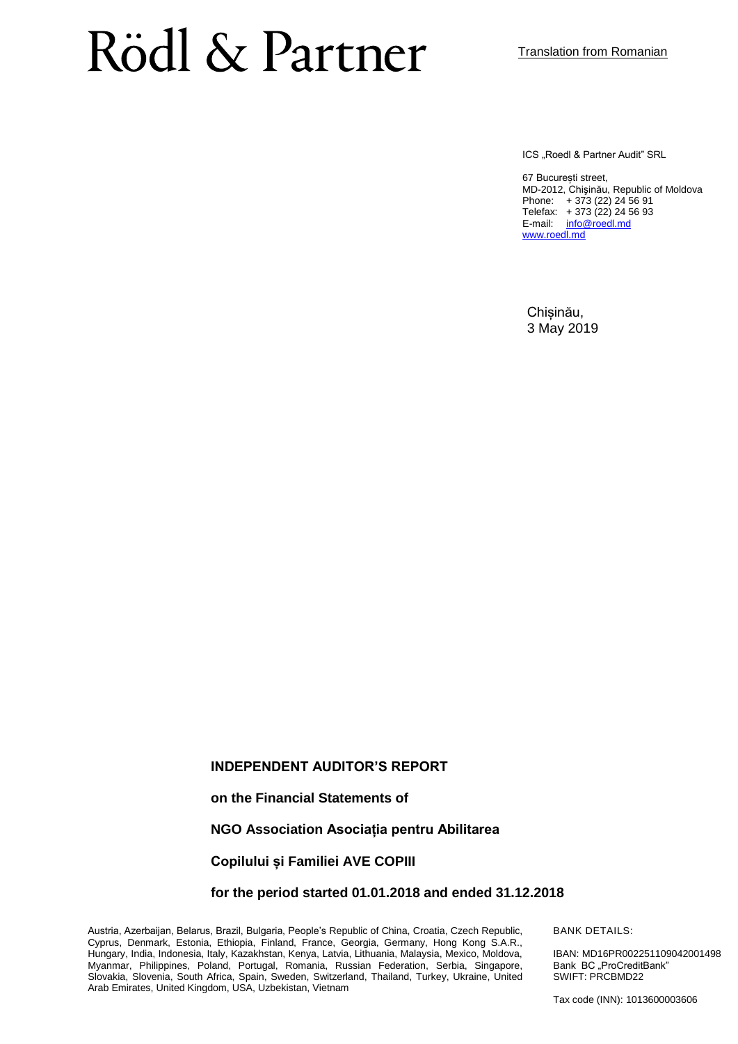ICS "Roedl & Partner Audit" SRL

67 București street, MD-2012, Chişinău, Republic of Moldova Phone: + 373 (22) 24 56 91 Telefax: + 373 (22) 24 56 93 E-mail: [info@roedl.md](mailto:info@roedl.md) [www.roedl.md](http://www.roedl.md/)

Chișinău, 3 May 2019

#### **INDEPENDENT AUDITOR'S REPORT**

**on the Financial Statements of**

**NGO Association Asociația pentru Abilitarea** 

**Copilului și Familiei AVE COPIII**

**for the period started 01.01.2018 and ended 31.12.2018**

Austria, Azerbaijan, Belarus, Brazil, Bulgaria, People's Republic of China, Croatia, Czech Republic, Cyprus, Denmark, Estonia, Ethiopia, Finland, France, Georgia, Germany, Hong Kong S.A.R., Hungary, India, Indonesia, Italy, Kazakhstan, Kenya, Latvia, Lithuania, Malaysia, Mexico, Moldova, Myanmar, Philippines, Poland, Portugal, Romania, Russian Federation, Serbia, Singapore, Slovakia, Slovenia, South Africa, Spain, Sweden, Switzerland, Thailand, Turkey, Ukraine, United Arab Emirates, United Kingdom, USA, Uzbekistan, Vietnam

BANK DETAILS:

IBAN: MD16PR002251109042001498 Bank BC ..ProCreditBank" SWIFT: PRCBMD22

Tax code (INN): 1013600003606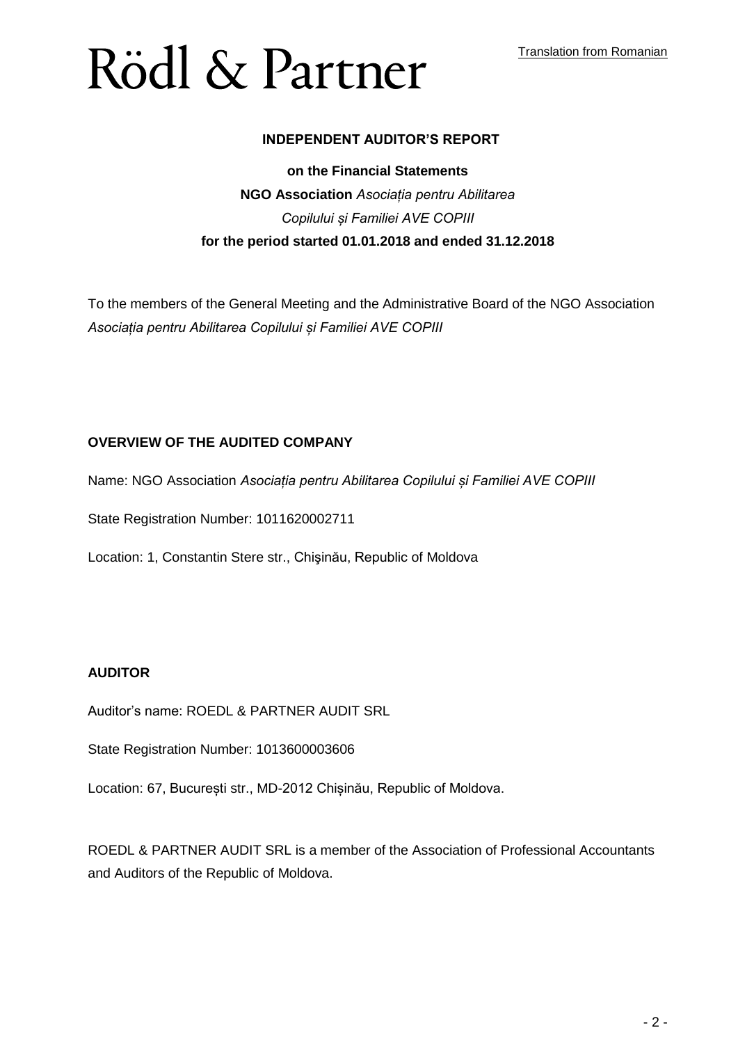#### **INDEPENDENT AUDITOR'S REPORT**

#### **on the Financial Statements**

### **NGO Association** *Asociația pentru Abilitarea Copilului și Familiei AVE COPIII* **for the period started 01.01.2018 and ended 31.12.2018**

To the members of the General Meeting and the Administrative Board of the NGO Association *Asociația pentru Abilitarea Copilului și Familiei AVE COPIII*

#### **OVERVIEW OF THE AUDITED COMPANY**

Name: NGO Association *Asociația pentru Abilitarea Copilului și Familiei AVE COPIII*

State Registration Number: 1011620002711

Location: 1, Constantin Stere str., Chişinău, Republic of Moldova

#### **AUDITOR**

Auditor's name: ROEDL & PARTNER AUDIT SRL

State Registration Number: 1013600003606

Location: 67, București str., MD-2012 Chișinău, Republic of Moldova.

ROEDL & PARTNER AUDIT SRL is a member of the Association of Professional Accountants and Auditors of the Republic of Moldova.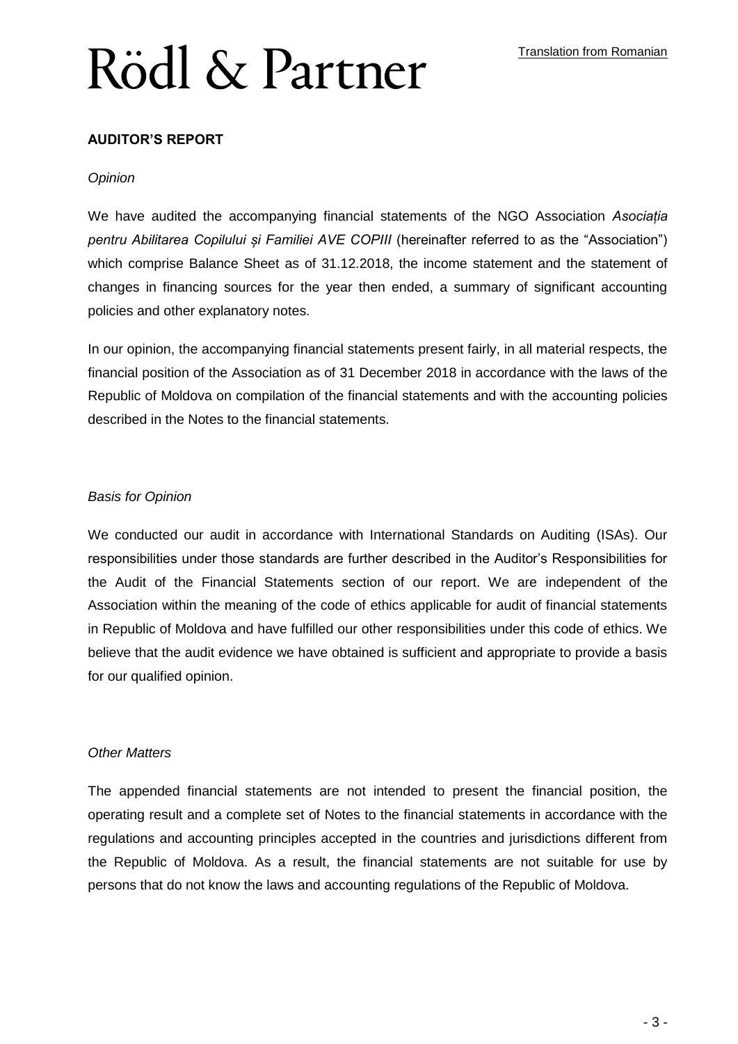#### **AUDITOR'S REPORT**

#### *Opinion*

We have audited the accompanying financial statements of the NGO Association *Asociația pentru Abilitarea Copilului și Familiei AVE COPIII* (hereinafter referred to as the "Association") which comprise Balance Sheet as of 31.12.2018, the income statement and the statement of changes in financing sources for the year then ended, a summary of significant accounting policies and other explanatory notes.

In our opinion, the accompanying financial statements present fairly, in all material respects, the financial position of the Association as of 31 December 2018 in accordance with the laws of the Republic of Moldova on compilation of the financial statements and with the accounting policies described in the Notes to the financial statements.

#### *Basis for Opinion*

We conducted our audit in accordance with International Standards on Auditing (ISAs). Our responsibilities under those standards are further described in the Auditor's Responsibilities for the Audit of the Financial Statements section of our report. We are independent of the Association within the meaning of the code of ethics applicable for audit of financial statements in Republic of Moldova and have fulfilled our other responsibilities under this code of ethics. We believe that the audit evidence we have obtained is sufficient and appropriate to provide a basis for our qualified opinion.

#### *Other Matters*

The appended financial statements are not intended to present the financial position, the operating result and a complete set of Notes to the financial statements in accordance with the regulations and accounting principles accepted in the countries and jurisdictions different from the Republic of Moldova. As a result, the financial statements are not suitable for use by persons that do not know the laws and accounting regulations of the Republic of Moldova.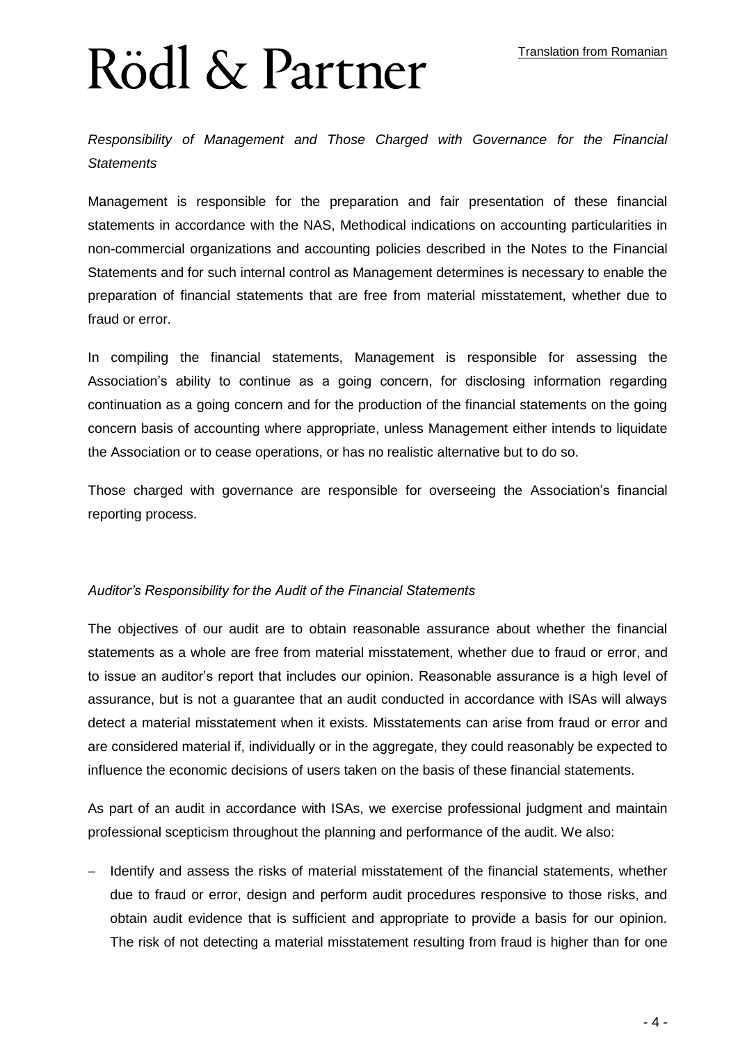*Responsibility of Management and Those Charged with Governance for the Financial Statements*

Management is responsible for the preparation and fair presentation of these financial statements in accordance with the NAS, Methodical indications on accounting particularities in non-commercial organizations and accounting policies described in the Notes to the Financial Statements and for such internal control as Management determines is necessary to enable the preparation of financial statements that are free from material misstatement, whether due to fraud or error.

In compiling the financial statements, Management is responsible for assessing the Association's ability to continue as a going concern, for disclosing information regarding continuation as a going concern and for the production of the financial statements on the going concern basis of accounting where appropriate, unless Management either intends to liquidate the Association or to cease operations, or has no realistic alternative but to do so.

Those charged with governance are responsible for overseeing the Association's financial reporting process.

#### *Auditor's Responsibility for the Audit of the Financial Statements*

The objectives of our audit are to obtain reasonable assurance about whether the financial statements as a whole are free from material misstatement, whether due to fraud or error, and to issue an auditor's report that includes our opinion. Reasonable assurance is a high level of assurance, but is not a guarantee that an audit conducted in accordance with ISAs will always detect a material misstatement when it exists. Misstatements can arise from fraud or error and are considered material if, individually or in the aggregate, they could reasonably be expected to influence the economic decisions of users taken on the basis of these financial statements.

As part of an audit in accordance with ISAs, we exercise professional judgment and maintain professional scepticism throughout the planning and performance of the audit. We also:

 Identify and assess the risks of material misstatement of the financial statements, whether due to fraud or error, design and perform audit procedures responsive to those risks, and obtain audit evidence that is sufficient and appropriate to provide a basis for our opinion. The risk of not detecting a material misstatement resulting from fraud is higher than for one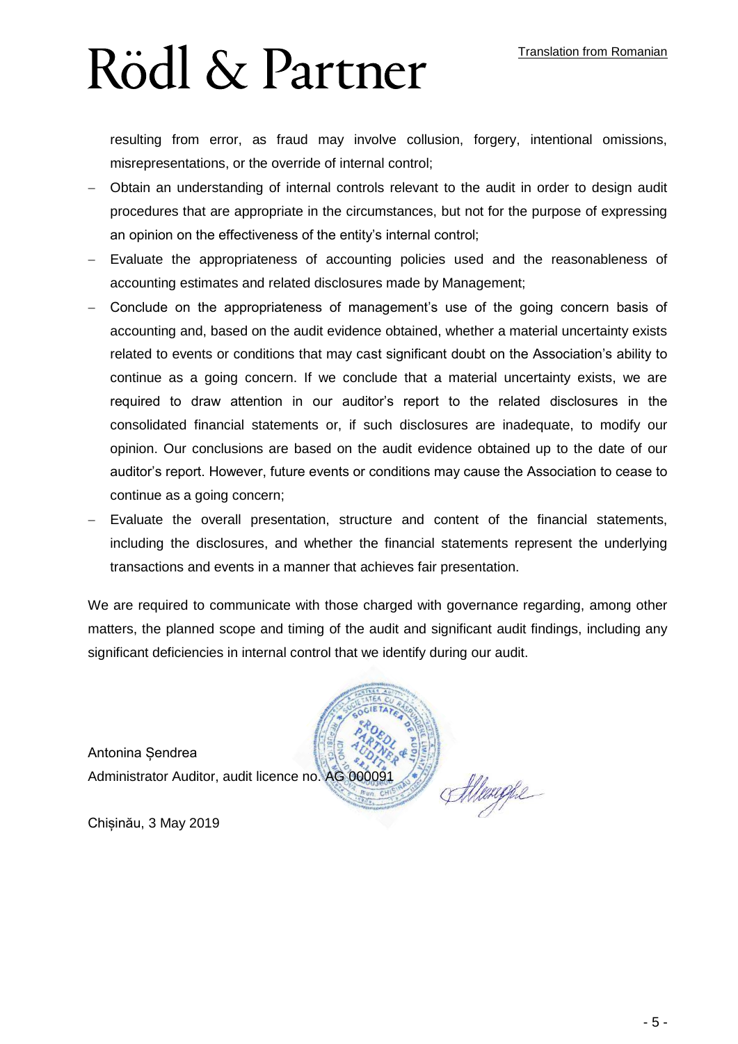resulting from error, as fraud may involve collusion, forgery, intentional omissions, misrepresentations, or the override of internal control;

- Obtain an understanding of internal controls relevant to the audit in order to design audit procedures that are appropriate in the circumstances, but not for the purpose of expressing an opinion on the effectiveness of the entity's internal control;
- Evaluate the appropriateness of accounting policies used and the reasonableness of accounting estimates and related disclosures made by Management;
- Conclude on the appropriateness of management's use of the going concern basis of accounting and, based on the audit evidence obtained, whether a material uncertainty exists related to events or conditions that may cast significant doubt on the Association's ability to continue as a going concern. If we conclude that a material uncertainty exists, we are required to draw attention in our auditor's report to the related disclosures in the consolidated financial statements or, if such disclosures are inadequate, to modify our opinion. Our conclusions are based on the audit evidence obtained up to the date of our auditor's report. However, future events or conditions may cause the Association to cease to continue as a going concern;
- Evaluate the overall presentation, structure and content of the financial statements, including the disclosures, and whether the financial statements represent the underlying transactions and events in a manner that achieves fair presentation.

We are required to communicate with those charged with governance regarding, among other matters, the planned scope and timing of the audit and significant audit findings, including any significant deficiencies in internal control that we identify during our audit.

Atlenghe

Antonina Șendrea Administrator Auditor, audit licence no. AG 000091

Chișinău, 3 May 2019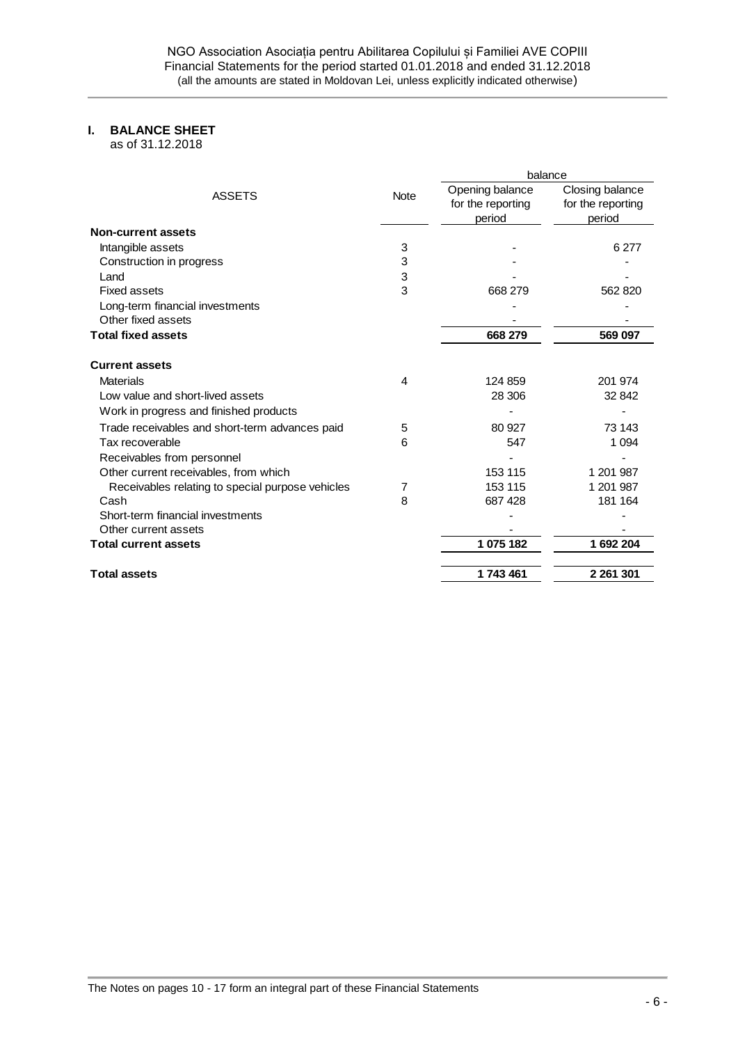#### **I. BALANCE SHEET**

as of 31.12.2018

|                                                       | balance                              |                                      |  |
|-------------------------------------------------------|--------------------------------------|--------------------------------------|--|
| <b>ASSETS</b><br><b>Note</b>                          | Opening balance<br>for the reporting | Closing balance<br>for the reporting |  |
|                                                       | period                               | period                               |  |
| <b>Non-current assets</b>                             |                                      |                                      |  |
| 3<br>Intangible assets                                |                                      | 6 277                                |  |
| 3<br>Construction in progress                         |                                      |                                      |  |
| 3<br>Land                                             |                                      |                                      |  |
| 3<br><b>Fixed assets</b>                              | 668 279                              | 562 820                              |  |
| Long-term financial investments                       |                                      |                                      |  |
| Other fixed assets                                    |                                      |                                      |  |
| <b>Total fixed assets</b>                             | 668 279                              | 569 097                              |  |
| <b>Current assets</b>                                 |                                      |                                      |  |
| <b>Materials</b><br>4                                 | 124 859                              | 201 974                              |  |
| Low value and short-lived assets                      | 28 306                               | 32 842                               |  |
| Work in progress and finished products                |                                      |                                      |  |
| Trade receivables and short-term advances paid<br>5   | 80 927                               | 73 143                               |  |
| Tax recoverable<br>6                                  | 547                                  | 1 0 9 4                              |  |
| Receivables from personnel                            |                                      |                                      |  |
| Other current receivables, from which                 | 153 115                              | 1 201 987                            |  |
| Receivables relating to special purpose vehicles<br>7 | 153 115                              | 1 201 987                            |  |
| 8<br>Cash                                             | 687 428                              | 181 164                              |  |
| Short-term financial investments                      |                                      |                                      |  |
| Other current assets                                  |                                      |                                      |  |
| <b>Total current assets</b>                           | 1 075 182                            | 1692204                              |  |
| <b>Total assets</b>                                   | 1743461                              | 2 261 301                            |  |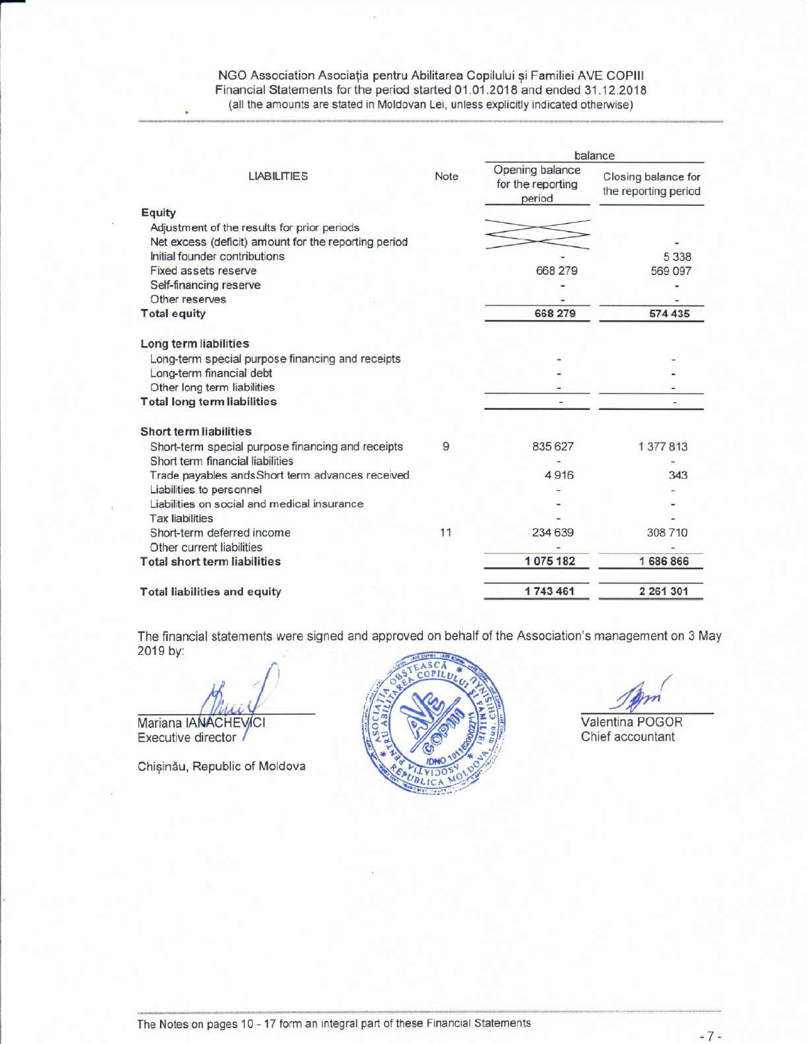NGO Association Asociația pentru Abilitarea Copilului și Familiei AVE COPIII Financial Statements for the period started 01.01.2018 and ended 31.12.2018 (all the amounts are stated in Moldovan Lei, unless explicitly indicated otherwise)

|                                                      |      | balance                                        |                                             |  |
|------------------------------------------------------|------|------------------------------------------------|---------------------------------------------|--|
| <b>LIABILITIES</b>                                   | Note | Opening balance<br>for the reporting<br>period | Closing balance for<br>the reporting period |  |
| Equity                                               |      |                                                |                                             |  |
| Adjustment of the results for prior periods          |      |                                                |                                             |  |
| Net excess (deficit) amount for the reporting period |      |                                                |                                             |  |
| Initial founder contributions                        |      |                                                | 5 3 3 8                                     |  |
| Fixed assets reserve                                 |      | 668 279                                        | 569 097                                     |  |
| Self-financing reserve                               |      |                                                |                                             |  |
| Other reserves                                       |      |                                                |                                             |  |
| <b>Total equity</b>                                  |      | 668 279                                        | 574 435                                     |  |
| Long term liabilities                                |      |                                                |                                             |  |
| Long-term special purpose financing and receipts     |      |                                                |                                             |  |
| Long-term financial debt                             |      |                                                |                                             |  |
| Other long term liabilities                          |      |                                                |                                             |  |
| <b>Total long term liabilities</b>                   |      |                                                |                                             |  |
| <b>Short term liabilities</b>                        |      |                                                |                                             |  |
| Short-term special purpose financing and receipts    | 9    | 835 627                                        | 1 377 813                                   |  |
| Short term financial liabilities                     |      |                                                |                                             |  |
| Trade payables ands Short term advances received     |      | 4916                                           | 343                                         |  |
| Liabilities to personnel                             |      |                                                |                                             |  |
| Liabilities on social and medical insurance          |      |                                                |                                             |  |
| <b>Tax liabilities</b>                               |      |                                                |                                             |  |
| Short-term deferred income                           | 11   | 234 639                                        | 308 710                                     |  |
| Other current liabilities                            |      |                                                |                                             |  |
| <b>Total short term liabilities</b>                  |      | 1075182                                        | 1 686 866                                   |  |
| <b>Total liabilities and equity</b>                  |      | 1743 461                                       | 2 261 301                                   |  |

The financial statements were signed and approved on behalf of the Association's management on 3 May 2019 by:

Mariana IANACHEVICI Executive director /

Chișinău, Republic of Moldova



Valentina POGOR Chief accountant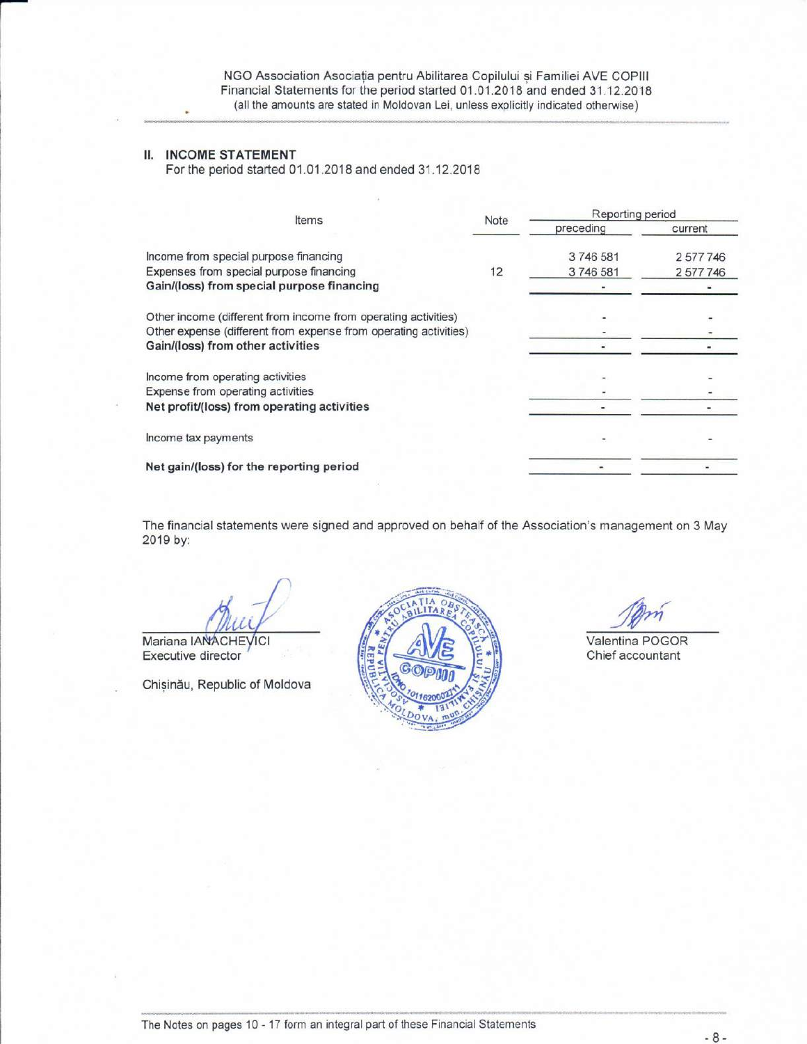NGO Association Asociația pentru Abilitarea Copilului și Familiei AVE COPIII Financial Statements for the period started 01.01.2018 and ended 31.12.2018 (all the amounts are stated in Moldovan Lei, unless explicitly indicated otherwise)

#### **II. INCOME STATEMENT**

For the period started 01.01.2018 and ended 31.12.2018

| Items                                                            | Note | Reporting period |         |  |
|------------------------------------------------------------------|------|------------------|---------|--|
|                                                                  |      | preceding        | current |  |
| Income from special purpose financing                            |      | 3746581          | 2577746 |  |
| Expenses from special purpose financing                          | 12   | 3746581          | 2577746 |  |
| Gain/(loss) from special purpose financing                       |      |                  |         |  |
| Other income (different from income from operating activities)   |      |                  |         |  |
| Other expense (different from expense from operating activities) |      |                  |         |  |
| Gain/(loss) from other activities                                |      |                  |         |  |
| Income from operating activities                                 |      |                  |         |  |
| Expense from operating activities                                |      |                  |         |  |
| Net profit/(loss) from operating activities                      |      |                  |         |  |
| Income tax payments                                              |      |                  |         |  |
| Net gain/(loss) for the reporting period                         |      |                  |         |  |

The financial statements were signed and approved on behalf of the Association's management on 3 May 2019 by:

Mariana IANACHEVICI

Executive director

Chișinău, Republic of Moldova



Valentina POGOR Chief accountant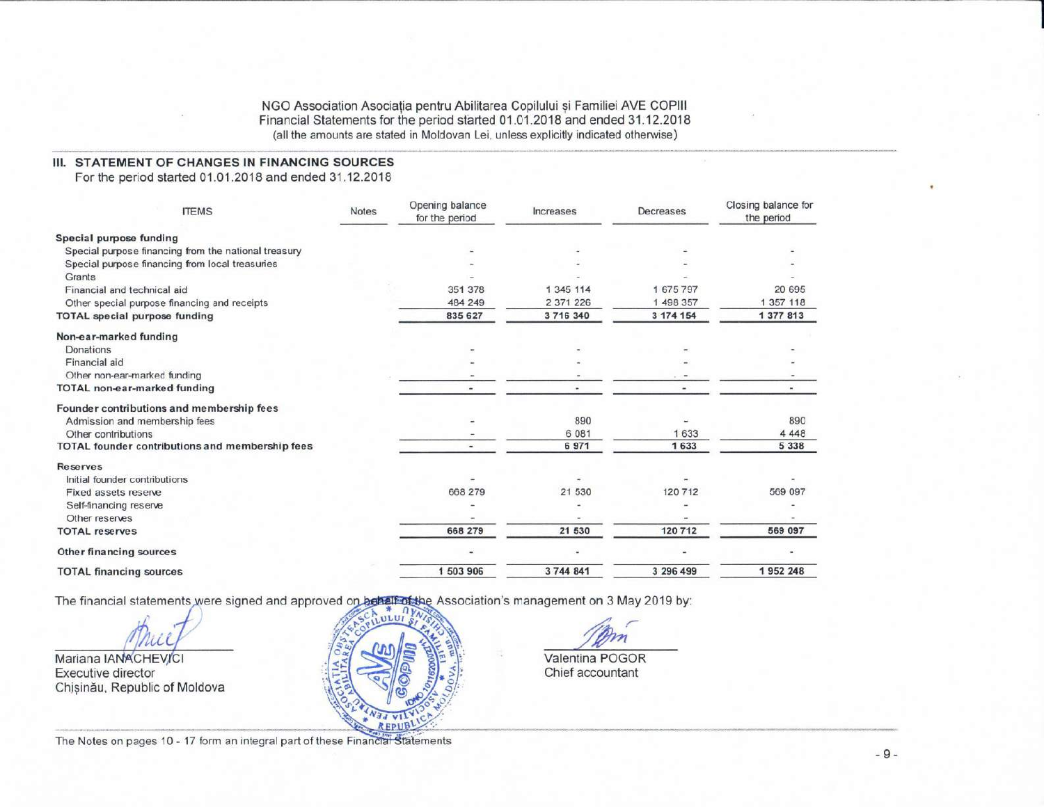NGO Association Asociația pentru Abilitarea Copilului și Familiei AVE COPIII Financial Statements for the period started 01.01.2018 and ended 31.12.2018 (all the amounts are stated in Moldovan Lei, unless explicitly indicated otherwise)

#### III. STATEMENT OF CHANGES IN FINANCING SOURCES

For the period started 01.01.2018 and ended 31.12.2018

| <b>ITEMS</b>                                         | Notes | Opening balance<br>for the period | Increases | Decreases | Closing balance for<br>the period |
|------------------------------------------------------|-------|-----------------------------------|-----------|-----------|-----------------------------------|
| Special purpose funding                              |       |                                   |           |           |                                   |
| Special purpose financing from the national treasury |       |                                   |           |           |                                   |
| Special purpose financing from local treasuries      |       |                                   |           |           |                                   |
| Grants                                               |       |                                   |           |           |                                   |
| Financial and technical aid                          |       | 351 378                           | 1 345 114 | 1 675 797 | 20 695                            |
| Other special purpose financing and receipts         |       | 484 249                           | 2 371 226 | 1 498 357 | 1 357 118                         |
| <b>TOTAL</b> special purpose funding                 |       | 835 627                           | 3 716 340 | 3 174 154 | 1 377 813                         |
| Non-ear-marked funding                               |       |                                   |           |           |                                   |
| Donations                                            |       |                                   |           |           |                                   |
| Financial aid                                        |       |                                   |           |           |                                   |
| Other non-ear-marked funding                         |       |                                   |           |           |                                   |
| <b>TOTAL non-ear-marked funding</b>                  |       |                                   |           |           |                                   |
| Founder contributions and membership fees            |       |                                   |           |           |                                   |
| Admission and membership fees                        |       |                                   | 890       |           | 890                               |
| Other contributions                                  |       |                                   | 6 0 8 1   | 1 633     | 4 4 4 8                           |
| TOTAL founder contributions and membership fees      |       |                                   | 6971      | 1633      | 5 3 3 8                           |
| <b>Reserves</b>                                      |       |                                   |           |           |                                   |
| Initial founder contributions                        |       |                                   |           |           |                                   |
| Fixed assets reserve                                 |       | 668 279                           | 21 530    | 120 712   | 569 097                           |
| Self-financing reserve                               |       |                                   |           |           |                                   |
| Other reserves                                       |       |                                   |           |           |                                   |
| <b>TOTAL reserves</b>                                |       | 668 279                           | 21 530    | 120 712   | 569 097                           |
| Other financing sources                              |       |                                   |           |           |                                   |
| <b>TOTAL financing sources</b>                       |       | 1 503 906                         | 3 744 841 | 3 296 499 | 1952248                           |

The financial statements were signed and approved on behalf of the Association's management on 3 May 2019 by:

Mariana IANACHEVICI Executive director Chișinău, Republic of Moldova

Valentina POGOR Chief accountant

The Notes on pages 10 - 17 form an integral part of these Financial Statements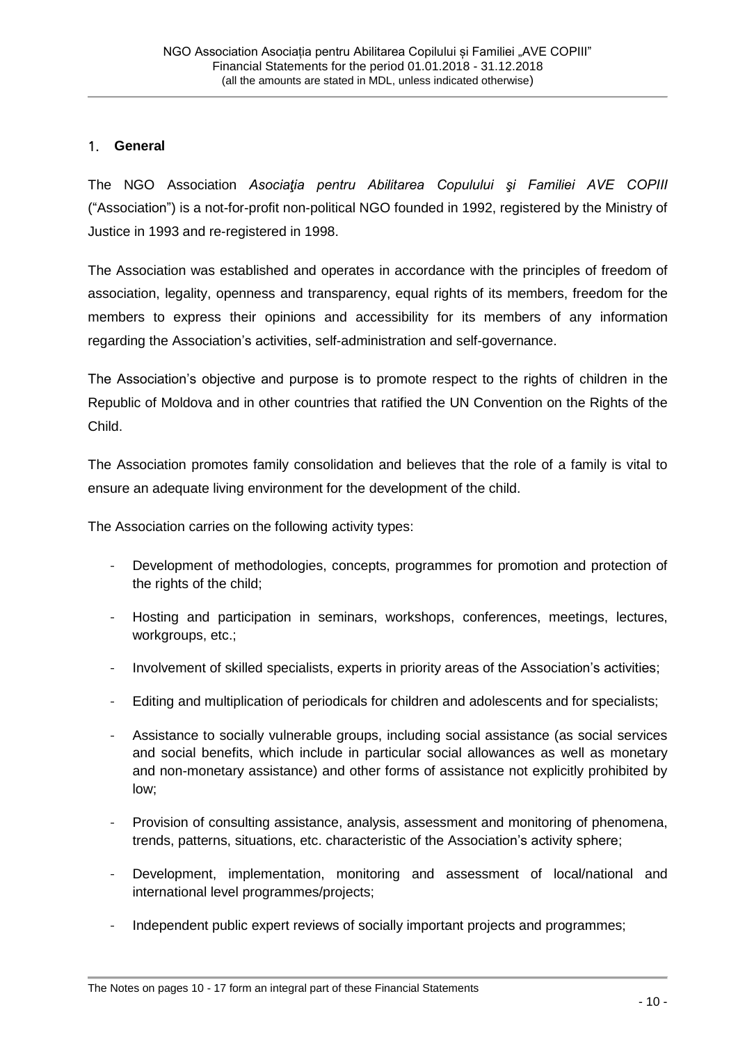#### 1. **General**

The NGO Association *Asociaţia pentru Abilitarea Copulului şi Familiei AVE COPIII* ("Association") is a not-for-profit non-political NGO founded in 1992, registered by the Ministry of Justice in 1993 and re-registered in 1998.

The Association was established and operates in accordance with the principles of freedom of association, legality, openness and transparency, equal rights of its members, freedom for the members to express their opinions and accessibility for its members of any information regarding the Association's activities, self-administration and self-governance.

The Association's objective and purpose is to promote respect to the rights of children in the Republic of Moldova and in other countries that ratified the UN Convention on the Rights of the Child.

The Association promotes family consolidation and believes that the role of a family is vital to ensure an adequate living environment for the development of the child.

The Association carries on the following activity types:

- Development of methodologies, concepts, programmes for promotion and protection of the rights of the child;
- Hosting and participation in seminars, workshops, conferences, meetings, lectures, workgroups, etc.;
- Involvement of skilled specialists, experts in priority areas of the Association's activities;
- Editing and multiplication of periodicals for children and adolescents and for specialists;
- Assistance to socially vulnerable groups, including social assistance (as social services and social benefits, which include in particular social allowances as well as monetary and non-monetary assistance) and other forms of assistance not explicitly prohibited by low;
- Provision of consulting assistance, analysis, assessment and monitoring of phenomena, trends, patterns, situations, etc. characteristic of the Association's activity sphere;
- Development, implementation, monitoring and assessment of local/national and international level programmes/projects;
- Independent public expert reviews of socially important projects and programmes;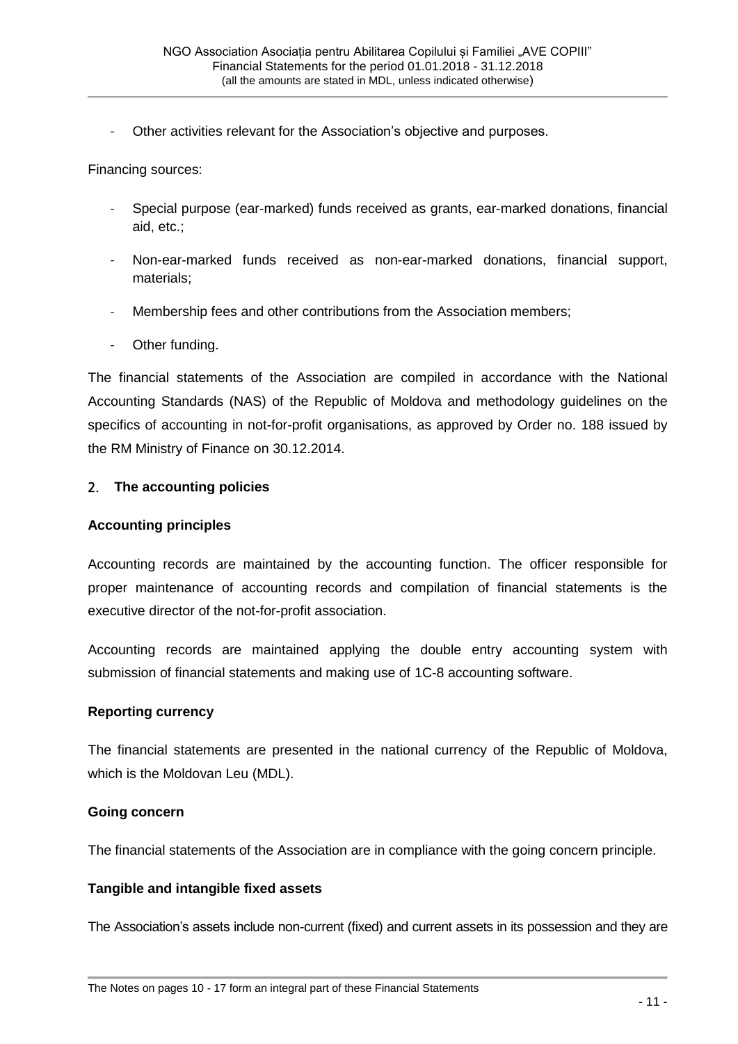- Other activities relevant for the Association's objective and purposes.

Financing sources:

- Special purpose (ear-marked) funds received as grants, ear-marked donations, financial aid, etc.;
- Non-ear-marked funds received as non-ear-marked donations, financial support, materials;
- Membership fees and other contributions from the Association members;
- Other funding.

The financial statements of the Association are compiled in accordance with the National Accounting Standards (NAS) of the Republic of Moldova and methodology guidelines on the specifics of accounting in not-for-profit organisations, as approved by Order no. 188 issued by the RM Ministry of Finance on 30.12.2014.

#### 2. **The accounting policies**

#### **Accounting principles**

Accounting records are maintained by the accounting function. The officer responsible for proper maintenance of accounting records and compilation of financial statements is the executive director of the not-for-profit association.

Accounting records are maintained applying the double entry accounting system with submission of financial statements and making use of 1C-8 accounting software.

#### **Reporting currency**

The financial statements are presented in the national currency of the Republic of Moldova, which is the Moldovan Leu (MDL).

#### **Going concern**

The financial statements of the Association are in compliance with the going concern principle.

#### **Tangible and intangible fixed assets**

The Association's assets include non-current (fixed) and current assets in its possession and they are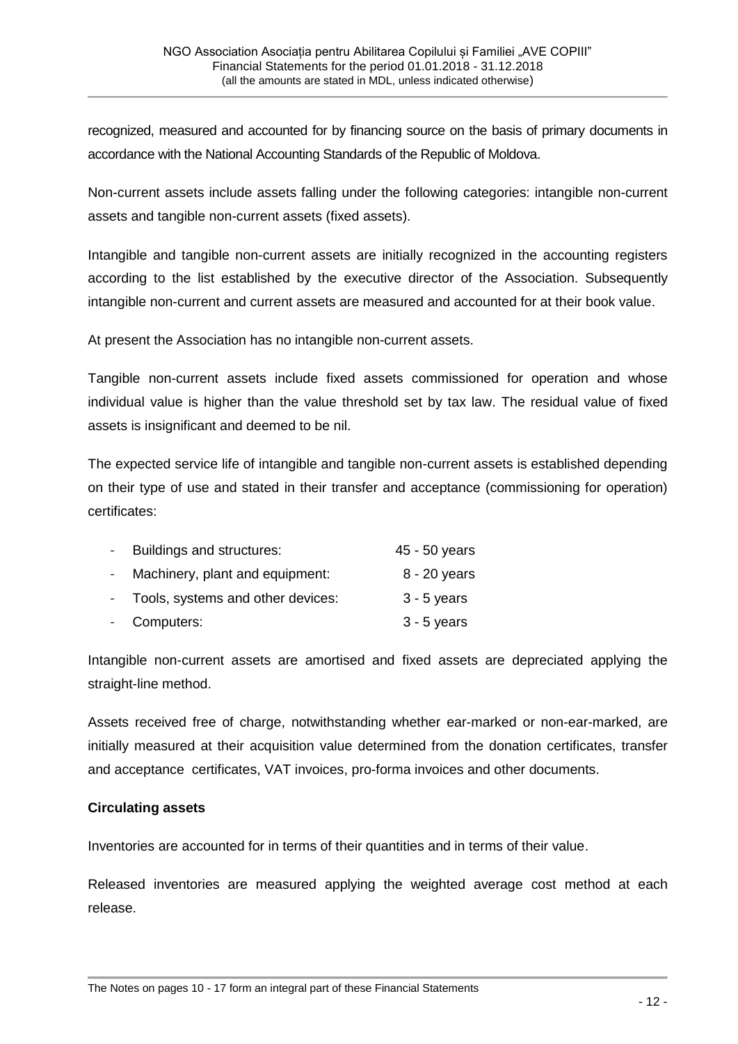recognized, measured and accounted for by financing source on the basis of primary documents in accordance with the National Accounting Standards of the Republic of Moldova.

Non-current assets include assets falling under the following categories: intangible non-current assets and tangible non-current assets (fixed assets).

Intangible and tangible non-current assets are initially recognized in the accounting registers according to the list established by the executive director of the Association. Subsequently intangible non-current and current assets are measured and accounted for at their book value.

At present the Association has no intangible non-current assets.

Tangible non-current assets include fixed assets commissioned for operation and whose individual value is higher than the value threshold set by tax law. The residual value of fixed assets is insignificant and deemed to be nil.

The expected service life of intangible and tangible non-current assets is established depending on their type of use and stated in their transfer and acceptance (commissioning for operation) certificates:

| Buildings and structures:           | 45 - 50 years |
|-------------------------------------|---------------|
| Machinery, plant and equipment:     | 8 - 20 years  |
| - Tools, systems and other devices: | $3 - 5$ years |
| - Computers:                        | $3 - 5$ years |

Intangible non-current assets are amortised and fixed assets are depreciated applying the straight-line method.

Assets received free of charge, notwithstanding whether ear-marked or non-ear-marked, are initially measured at their acquisition value determined from the donation certificates, transfer and acceptance certificates, VAT invoices, pro-forma invoices and other documents.

#### **Circulating assets**

Inventories are accounted for in terms of their quantities and in terms of their value.

Released inventories are measured applying the weighted average cost method at each release.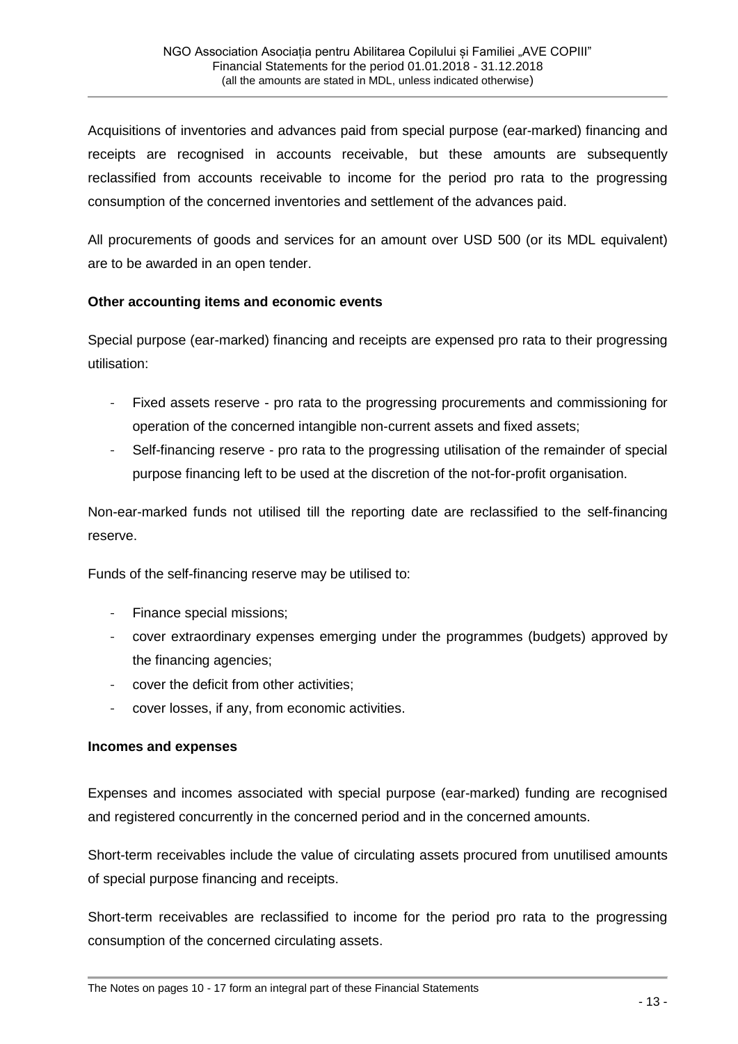Acquisitions of inventories and advances paid from special purpose (ear-marked) financing and receipts are recognised in accounts receivable, but these amounts are subsequently reclassified from accounts receivable to income for the period pro rata to the progressing consumption of the concerned inventories and settlement of the advances paid.

All procurements of goods and services for an amount over USD 500 (or its MDL equivalent) are to be awarded in an open tender.

#### **Other accounting items and economic events**

Special purpose (ear-marked) financing and receipts are expensed pro rata to their progressing utilisation:

- Fixed assets reserve pro rata to the progressing procurements and commissioning for operation of the concerned intangible non-current assets and fixed assets;
- Self-financing reserve pro rata to the progressing utilisation of the remainder of special purpose financing left to be used at the discretion of the not-for-profit organisation.

Non-ear-marked funds not utilised till the reporting date are reclassified to the self-financing reserve.

Funds of the self-financing reserve may be utilised to:

- Finance special missions;
- cover extraordinary expenses emerging under the programmes (budgets) approved by the financing agencies;
- cover the deficit from other activities;
- cover losses, if any, from economic activities.

#### **Incomes and expenses**

Expenses and incomes associated with special purpose (ear-marked) funding are recognised and registered concurrently in the concerned period and in the concerned amounts.

Short-term receivables include the value of circulating assets procured from unutilised amounts of special purpose financing and receipts.

Short-term receivables are reclassified to income for the period pro rata to the progressing consumption of the concerned circulating assets.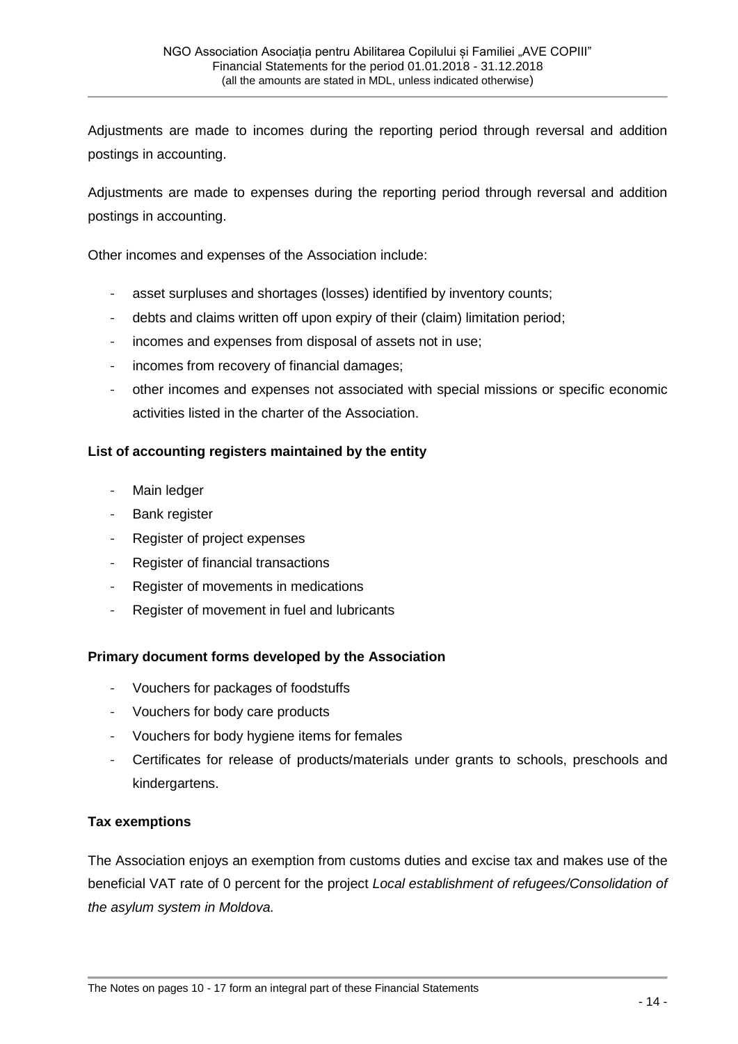Adjustments are made to incomes during the reporting period through reversal and addition postings in accounting.

Adjustments are made to expenses during the reporting period through reversal and addition postings in accounting.

Other incomes and expenses of the Association include:

- asset surpluses and shortages (losses) identified by inventory counts;
- debts and claims written off upon expiry of their (claim) limitation period;
- incomes and expenses from disposal of assets not in use;
- incomes from recovery of financial damages;
- other incomes and expenses not associated with special missions or specific economic activities listed in the charter of the Association.

#### **List of accounting registers maintained by the entity**

- Main ledger
- Bank register
- Register of project expenses
- Register of financial transactions
- Register of movements in medications
- Register of movement in fuel and lubricants

#### **Primary document forms developed by the Association**

- Vouchers for packages of foodstuffs
- Vouchers for body care products
- Vouchers for body hygiene items for females
- Certificates for release of products/materials under grants to schools, preschools and kindergartens.

#### **Tax exemptions**

The Association enjoys an exemption from customs duties and excise tax and makes use of the beneficial VAT rate of 0 percent for the project *Local establishment of refugees/Consolidation of the asylum system in Moldova.*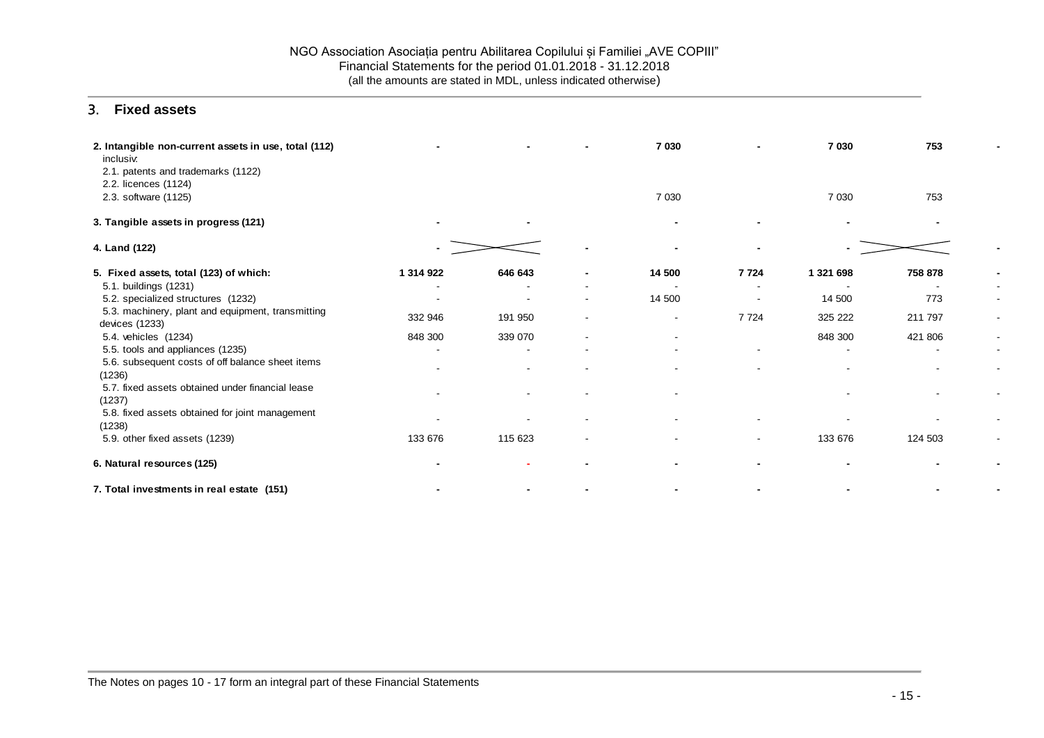#### 3. **Fixed assets**

| 2. Intangible non-current assets in use, total (112)<br>inclusiv.<br>2.1. patents and trademarks (1122) |           |         | 7 0 3 0                  |                          | 7 0 30    | 753     |                          |
|---------------------------------------------------------------------------------------------------------|-----------|---------|--------------------------|--------------------------|-----------|---------|--------------------------|
| 2.2. licences (1124)<br>2.3. software (1125)                                                            |           |         | 7 0 3 0                  |                          | 7 0 3 0   | 753     |                          |
| 3. Tangible assets in progress (121)                                                                    |           |         |                          |                          |           |         |                          |
| 4. Land (122)                                                                                           |           |         |                          |                          |           |         |                          |
| 5. Fixed assets, total (123) of which:                                                                  | 1 314 922 | 646 643 | 14 500                   | 7 7 24                   | 1 321 698 | 758 878 |                          |
| 5.1. buildings (1231)                                                                                   |           |         |                          |                          |           |         |                          |
| 5.2. specialized structures (1232)                                                                      |           |         | 14 500                   |                          | 14 500    | 773     |                          |
| 5.3. machinery, plant and equipment, transmitting<br>devices (1233)                                     | 332 946   | 191 950 | $\overline{\phantom{a}}$ | 7 7 2 4                  | 325 222   | 211 797 |                          |
| 5.4. vehicles (1234)                                                                                    | 848 300   | 339 070 | ۰                        |                          | 848 300   | 421 806 |                          |
| 5.5. tools and appliances (1235)                                                                        |           |         |                          | ۰                        |           |         | $\overline{\phantom{a}}$ |
| 5.6. subsequent costs of off balance sheet items<br>(1236)                                              |           |         |                          | ٠                        |           |         |                          |
| 5.7. fixed assets obtained under financial lease<br>(1237)                                              |           |         |                          |                          |           |         |                          |
| 5.8. fixed assets obtained for joint management<br>(1238)                                               |           |         |                          |                          |           |         |                          |
| 5.9. other fixed assets (1239)                                                                          | 133 676   | 115 623 |                          | $\overline{\phantom{0}}$ | 133 676   | 124 503 |                          |
| 6. Natural resources (125)                                                                              |           |         |                          |                          |           |         |                          |
| 7. Total investments in real estate (151)                                                               |           |         |                          |                          |           |         |                          |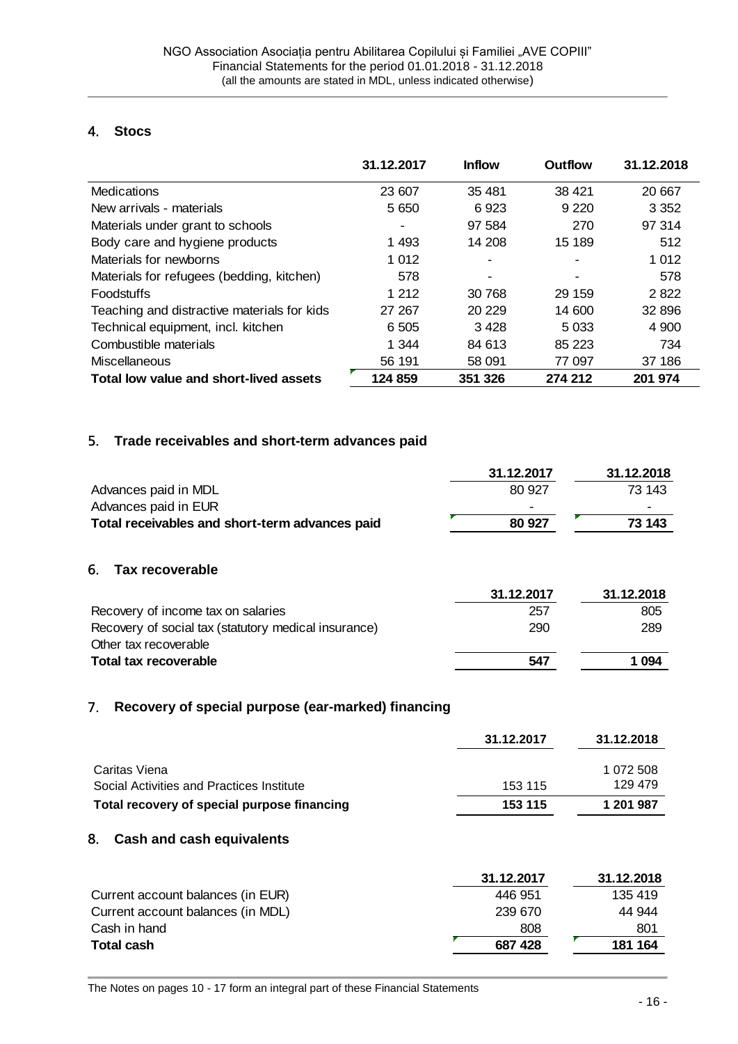#### 4. **Stocs**

|                                             | 31.12.2017 | <b>Inflow</b> | <b>Outflow</b> | 31.12.2018 |
|---------------------------------------------|------------|---------------|----------------|------------|
| Medications                                 | 23 607     | 35 481        | 38 4 21        | 20 667     |
| New arrivals - materials                    | 5 6 5 0    | 6923          | 9 2 2 0        | 3 3 5 2    |
| Materials under grant to schools            |            | 97 584        | 270            | 97 314     |
| Body care and hygiene products              | 1493       | 14 208        | 15 189         | 512        |
| Materials for newborns                      | 1 0 1 2    |               |                | 1 012      |
| Materials for refugees (bedding, kitchen)   | 578        |               |                | 578        |
| <b>Foodstuffs</b>                           | 1 2 1 2    | 30 768        | 29 159         | 2822       |
| Teaching and distractive materials for kids | 27 267     | 20 229        | 14 600         | 32 896     |
| Technical equipment, incl. kitchen          | 6 5 0 5    | 3428          | 5 0 3 3        | 4 9 0 0    |
| Combustible materials                       | 1 344      | 84 613        | 85 223         | 734        |
| Miscellaneous                               | 56 191     | 58 091        | 77 097         | 37 186     |
| Total low value and short-lived assets      | 124 859    | 351 326       | 274 212        | 201 974    |

#### 5. **Trade receivables and short-term advances paid**

| Advances paid in MDL<br>Advances paid in EUR<br>Total receivables and short-term advances paid | 31.12.2017<br>80 927<br>80 927 | 31.12.2018<br>73 143<br>73 143 |
|------------------------------------------------------------------------------------------------|--------------------------------|--------------------------------|
| 6.<br><b>Tax recoverable</b>                                                                   |                                |                                |
|                                                                                                | 31.12.2017                     | 31.12.2018                     |
| Recovery of income tax on salaries                                                             | 257                            | 805                            |
| Recovery of social tax (statutory medical insurance)<br>Other tax recoverable                  | 290                            | 289                            |
| Total tax recoverable                                                                          | 547                            | 1 0 9 4                        |

#### 7. **Recovery of special purpose (ear-marked) financing**

|                                                            | 31.12.2017 | 31.12.2018           |
|------------------------------------------------------------|------------|----------------------|
| Caritas Viena<br>Social Activities and Practices Institute | 153 115    | 1 072 508<br>129 479 |
| Total recovery of special purpose financing                | 153 115    | 1 201 987            |

#### 8. **Cash and cash equivalents**

|                                   | 31.12.2017 | 31.12.2018 |
|-----------------------------------|------------|------------|
| Current account balances (in EUR) | 446 951    | 135 419    |
| Current account balances (in MDL) | 239 670    | 44 944     |
| Cash in hand                      | 808        | 801        |
| <b>Total cash</b>                 | 687 428    | 181 164    |